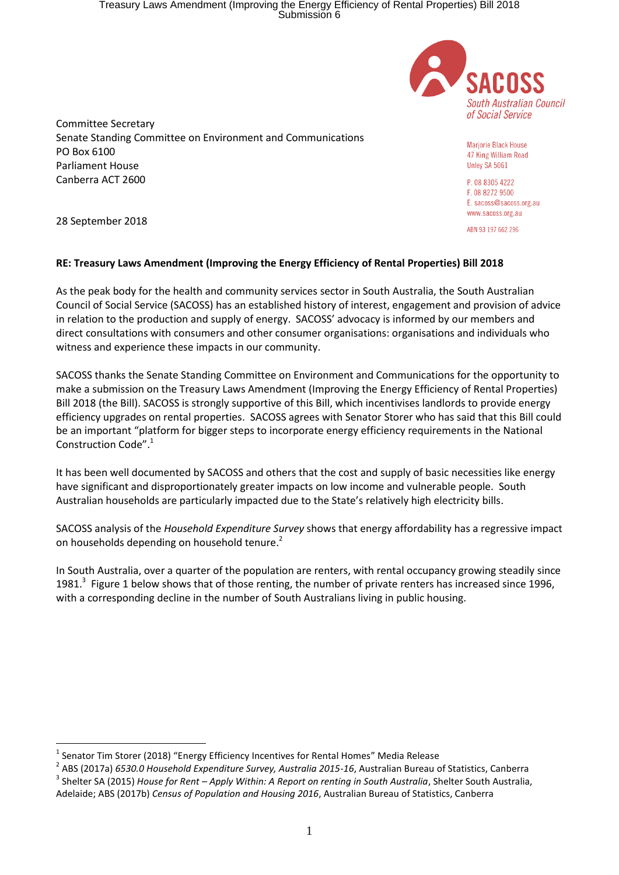## Treasury Laws Amendment (Improving the Energy Efficiency of Rental Properties) Bill 2018 Submission 6



Committee Secretary Senate Standing Committee on Environment and Communications PO Box 6100 Parliament House Canberra ACT 2600

Marjorie Black House 47 King William Road Unley SA 5061

P 08 8305 4222 F 08 8272 9500 E. sacoss@sacoss.org.au www.sacoss.org.au

ABN 93 197 662 296

28 September 2018

<u>.</u>

## **RE: Treasury Laws Amendment (Improving the Energy Efficiency of Rental Properties) Bill 2018**

As the peak body for the health and community services sector in South Australia, the South Australian Council of Social Service (SACOSS) has an established history of interest, engagement and provision of advice in relation to the production and supply of energy. SACOSS' advocacy is informed by our members and direct consultations with consumers and other consumer organisations: organisations and individuals who witness and experience these impacts in our community.

SACOSS thanks the Senate Standing Committee on Environment and Communications for the opportunity to make a submission on the Treasury Laws Amendment (Improving the Energy Efficiency of Rental Properties) Bill 2018 (the Bill). SACOSS is strongly supportive of this Bill, which incentivises landlords to provide energy efficiency upgrades on rental properties. SACOSS agrees with Senator Storer who has said that this Bill could be an important "platform for bigger steps to incorporate energy efficiency requirements in the National Construction Code". 1

It has been well documented by SACOSS and others that the cost and supply of basic necessities like energy have significant and disproportionately greater impacts on low income and vulnerable people. South Australian households are particularly impacted due to the State's relatively high electricity bills.

SACOSS analysis of the *Household Expenditure Survey* shows that energy affordability has a regressive impact on households depending on household tenure.<sup>2</sup>

In South Australia, over a quarter of the population are renters, with rental occupancy growing steadily since 1981.<sup>3</sup> Figure 1 below shows that of those renting, the number of private renters has increased since 1996, with a corresponding decline in the number of South Australians living in public housing.

 $<sup>1</sup>$  Senator Tim Storer (2018) "Energy Efficiency Incentives for Rental Homes" Media Release</sup>

<sup>2</sup> ABS (2017a) *6530.0 Household Expenditure Survey, Australia 2015-16*, Australian Bureau of Statistics, Canberra

<sup>3</sup> Shelter SA (2015) *House for Rent – Apply Within: A Report on renting in South Australia*, Shelter South Australia, Adelaide; ABS (2017b) *Census of Population and Housing 2016*, Australian Bureau of Statistics, Canberra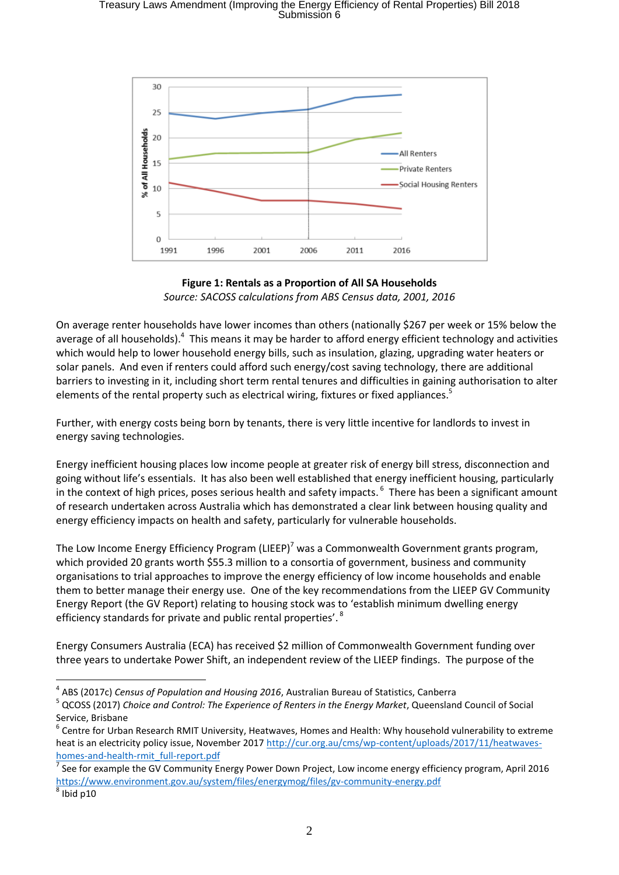## Treasury Laws Amendment (Improving the Energy Efficiency of Rental Properties) Bill 2018 Submission 6



**Figure 1: Rentals as a Proportion of All SA Households** *Source: SACOSS calculations from ABS Census data, 2001, 2016*

On average renter households have lower incomes than others (nationally \$267 per week or 15% below the average of all households).<sup>4</sup> This means it may be harder to afford energy efficient technology and activities which would help to lower household energy bills, such as insulation, glazing, upgrading water heaters or solar panels. And even if renters could afford such energy/cost saving technology, there are additional barriers to investing in it, including short term rental tenures and difficulties in gaining authorisation to alter elements of the rental property such as electrical wiring, fixtures or fixed appliances.<sup>5</sup>

Further, with energy costs being born by tenants, there is very little incentive for landlords to invest in energy saving technologies.

Energy inefficient housing places low income people at greater risk of energy bill stress, disconnection and going without life's essentials. It has also been well established that energy inefficient housing, particularly in the context of high prices, poses serious health and safety impacts. <sup>6</sup> There has been a significant amount of research undertaken across Australia which has demonstrated a clear link between housing quality and energy efficiency impacts on health and safety, particularly for vulnerable households.

The Low Income Energy Efficiency Program (LIEEP)<sup>7</sup> was a Commonwealth Government grants program, which provided 20 grants worth \$55.3 million to a consortia of government, business and community organisations to trial approaches to improve the energy efficiency of low income households and enable them to better manage their energy use. One of the key recommendations from the LIEEP GV Community Energy Report (the GV Report) relating to housing stock was to 'establish minimum dwelling energy efficiency standards for private and public rental properties'.<sup>8</sup>

Energy Consumers Australia (ECA) has received \$2 million of Commonwealth Government funding over three years to undertake Power Shift, an independent review of the LIEEP findings. The purpose of the

<u>.</u>

<sup>4</sup> ABS (2017c) *Census of Population and Housing 2016*, Australian Bureau of Statistics, Canberra

<sup>5</sup> QCOSS (2017) *Choice and Control: The Experience of Renters in the Energy Market*, Queensland Council of Social

Service, Brisbane<br><sup>6</sup> Centre for Urban Research RMIT University, Heatwaves, Homes and Health: Why household vulnerability to extreme heat is an electricity policy issue, November 201[7 http://cur.org.au/cms/wp-content/uploads/2017/11/heatwaves](http://cur.org.au/cms/wp-content/uploads/2017/11/heatwaves-homes-and-health-rmit_full-report.pdf)[homes-and-health-rmit\\_full-report.pdf](http://cur.org.au/cms/wp-content/uploads/2017/11/heatwaves-homes-and-health-rmit_full-report.pdf)

<sup>7</sup> See for example the GV Community Energy Power Down Project, Low income energy efficiency program, April 2016 <https://www.environment.gov.au/system/files/energymog/files/gv-community-energy.pdf>

 $^8$  Ibid p10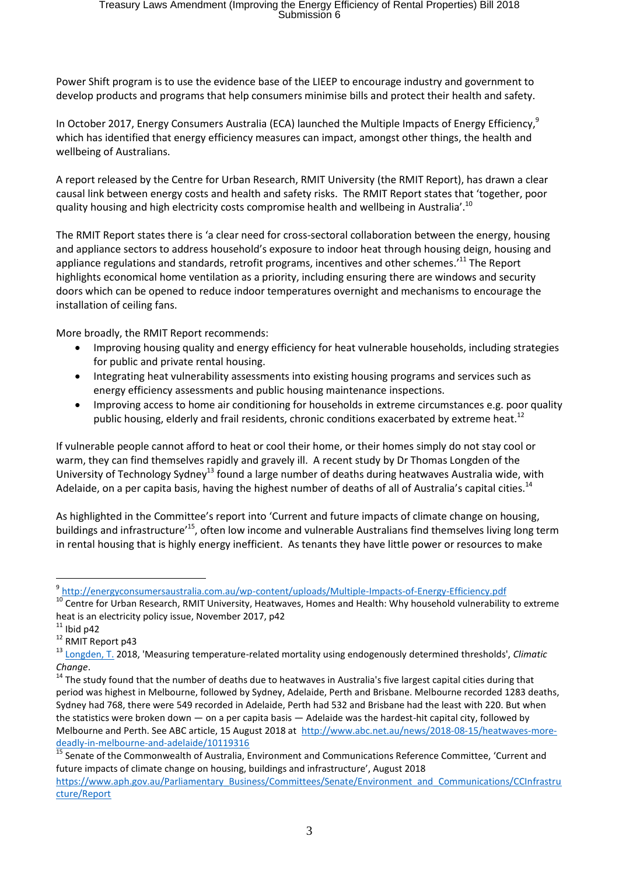Power Shift program is to use the evidence base of the LIEEP to encourage industry and government to develop products and programs that help consumers minimise bills and protect their health and safety.

In October 2017, Energy Consumers Australia (ECA) launched the Multiple Impacts of Energy Efficiency,<sup>9</sup> which has identified that energy efficiency measures can impact, amongst other things, the health and wellbeing of Australians.

A report released by the Centre for Urban Research, RMIT University (the RMIT Report), has drawn a clear causal link between energy costs and health and safety risks. The RMIT Report states that 'together, poor quality housing and high electricity costs compromise health and wellbeing in Australia'.<sup>10</sup>

The RMIT Report states there is 'a clear need for cross-sectoral collaboration between the energy, housing and appliance sectors to address household's exposure to indoor heat through housing deign, housing and appliance regulations and standards, retrofit programs, incentives and other schemes.<sup>11</sup> The Report highlights economical home ventilation as a priority, including ensuring there are windows and security doors which can be opened to reduce indoor temperatures overnight and mechanisms to encourage the installation of ceiling fans.

More broadly, the RMIT Report recommends:

- Improving housing quality and energy efficiency for heat vulnerable households, including strategies for public and private rental housing.
- Integrating heat vulnerability assessments into existing housing programs and services such as energy efficiency assessments and public housing maintenance inspections.
- Improving access to home air conditioning for households in extreme circumstances e.g. poor quality public housing, elderly and frail residents, chronic conditions exacerbated by extreme heat.<sup>12</sup>

If vulnerable people cannot afford to heat or cool their home, or their homes simply do not stay cool or warm, they can find themselves rapidly and gravely ill. A recent study by Dr Thomas Longden of the University of Technology Sydney<sup>13</sup> found a large number of deaths during heatwaves Australia wide, with Adelaide, on a per capita basis, having the highest number of deaths of all of Australia's capital cities.<sup>14</sup>

As highlighted in the Committee's report into 'Current and future impacts of climate change on housing, buildings and infrastructure<sup>15</sup>, often low income and vulnerable Australians find themselves living long term in rental housing that is highly energy inefficient. As tenants they have little power or resources to make

1

<sup>9</sup> <http://energyconsumersaustralia.com.au/wp-content/uploads/Multiple-Impacts-of-Energy-Efficiency.pdf>

<sup>&</sup>lt;sup>10</sup> Centre for Urban Research, RMIT University, Heatwaves, Homes and Health: Why household vulnerability to extreme heat is an electricity policy issue, November 2017, p42

 $11$  Ibid p42

<sup>&</sup>lt;sup>12</sup> RMIT Report p43

<sup>13</sup> [Longden, T.](http://www.uts.edu.au/staff/thomas.longden) 2018, 'Measuring temperature-related mortality using endogenously determined thresholds', *Climatic Change*.

<sup>&</sup>lt;sup>14</sup> The study found that the number of deaths due to heatwaves in Australia's five largest capital cities during that period was highest in Melbourne, followed by Sydney, Adelaide, Perth and Brisbane. Melbourne recorded 1283 deaths, Sydney had 768, there were 549 recorded in Adelaide, Perth had 532 and Brisbane had the least with 220. But when the statistics were broken down — on a per capita basis — Adelaide was the hardest-hit capital city, followed by Melbourne and Perth. See ABC article, 15 August 2018 at [http://www.abc.net.au/news/2018-08-15/heatwaves-more](http://www.abc.net.au/news/2018-08-15/heatwaves-more-deadly-in-melbourne-and-adelaide/10119316)[deadly-in-melbourne-and-adelaide/10119316](http://www.abc.net.au/news/2018-08-15/heatwaves-more-deadly-in-melbourne-and-adelaide/10119316)

<sup>&</sup>lt;sup>15</sup> Senate of the Commonwealth of Australia, Environment and Communications Reference Committee, 'Current and future impacts of climate change on housing, buildings and infrastructure', August 2018

[https://www.aph.gov.au/Parliamentary\\_Business/Committees/Senate/Environment\\_and\\_Communications/CCInfrastru](https://www.aph.gov.au/Parliamentary_Business/Committees/Senate/Environment_and_Communications/CCInfrastructure/Report) [cture/Report](https://www.aph.gov.au/Parliamentary_Business/Committees/Senate/Environment_and_Communications/CCInfrastructure/Report)